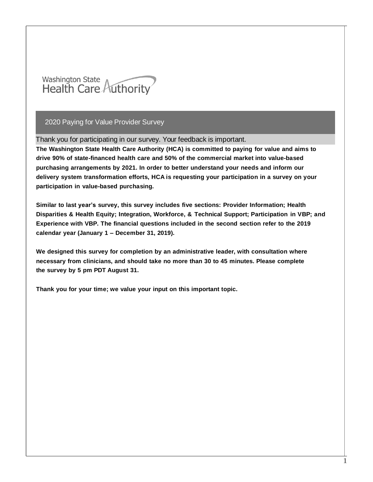

Thank you for participating in our survey. Your feedback is important.

**The Washington State Health Care Authority (HCA) is committed to paying for value and aims to drive 90% of state-financed health care and 50% of the commercial market into value-based purchasing arrangements by 2021. In order to better understand your needs and inform our delivery system transformation efforts, HCA is requesting your participation in a survey on your participation in value-based purchasing.**

**Similar to last year's survey, this survey includes five sections: Provider Information; Health Disparities & Health Equity; Integration, Workforce, & Technical Support; Participation in VBP; and Experience with VBP. The financial questions included in the second section refer to the 2019 calendar year (January 1 – December 31, 2019).**

**We designed this survey for completion by an administrative leader, with consultation where necessary from clinicians, and should take no more than 30 to 45 minutes. Please complete the survey by 5 pm PDT August 31.**

**Thank you for your time; we value your input on this important topic.**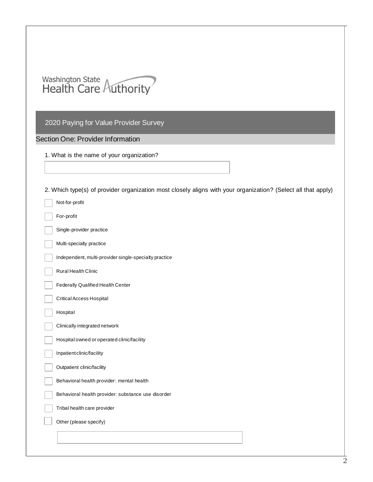

## Section One: Provider Information

|  |  |  |  |  |  |  | 1. What is the name of your organization? |
|--|--|--|--|--|--|--|-------------------------------------------|
|--|--|--|--|--|--|--|-------------------------------------------|

2. Which type(s) of provider organization most closely aligns with your organization? (Select all that apply)

| Not-for-profit                                        |
|-------------------------------------------------------|
| For-profit                                            |
| Single-provider practice                              |
| Multi-specialty practice                              |
| Independent, multi-provider single-specialty practice |
| Rural Health Clinic                                   |
| Federally Qualified Health Center                     |
| Critical Access Hospital                              |
| Hospital                                              |
| Clinically integrated network                         |
| Hospital owned or operated clinic/facility            |
| Inpatient clinic/facility                             |
| Outpatient clinic/facility                            |
| Behavioral health provider: mental health             |
| Behavioral health provider: substance use disorder    |
| Tribal health care provider                           |
| Other (please specify)                                |
|                                                       |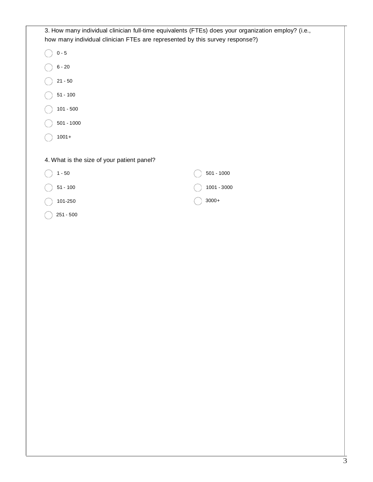|                                            | 3. How many individual clinician full-time equivalents (FTEs) does your organization employ? (i.e.,<br>how many individual clinician FTEs are represented by this survey response?) |
|--------------------------------------------|-------------------------------------------------------------------------------------------------------------------------------------------------------------------------------------|
| $0 - 5$                                    |                                                                                                                                                                                     |
| $6 - 20$                                   |                                                                                                                                                                                     |
| $21 - 50$                                  |                                                                                                                                                                                     |
| $51 - 100$                                 |                                                                                                                                                                                     |
| $101 - 500$                                |                                                                                                                                                                                     |
| $501 - 1000$                               |                                                                                                                                                                                     |
| $1001 +$                                   |                                                                                                                                                                                     |
| 4. What is the size of your patient panel? |                                                                                                                                                                                     |
| $1 - 50$                                   | $501 - 1000$                                                                                                                                                                        |
| $51 - 100$                                 | $1001 - 3000$                                                                                                                                                                       |
| 101-250                                    | $3000+$                                                                                                                                                                             |
| 251 - 500                                  |                                                                                                                                                                                     |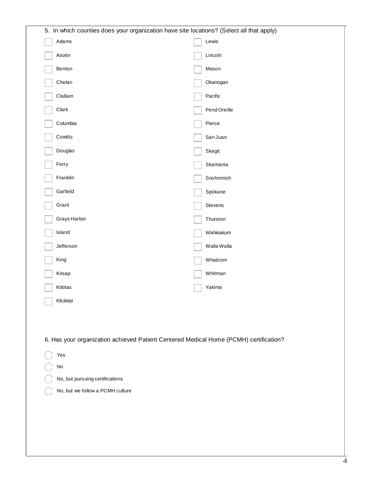| 5. In which counties does your organization have site locations? (Select all that apply) |              |  |  |  |
|------------------------------------------------------------------------------------------|--------------|--|--|--|
| Adams                                                                                    | Lewis        |  |  |  |
| Asotin                                                                                   | Lincoln      |  |  |  |
| Benton                                                                                   | Mason        |  |  |  |
| Chelan                                                                                   | Okanogan     |  |  |  |
| Clallam                                                                                  | Pacific      |  |  |  |
| Clark                                                                                    | Pend Oreille |  |  |  |
| Columbia                                                                                 | Pierce       |  |  |  |
| Cowlitz                                                                                  | San Juan     |  |  |  |
| Douglas                                                                                  | Skagit       |  |  |  |
| Ferry                                                                                    | Skamania     |  |  |  |
| Franklin                                                                                 | Snohomish    |  |  |  |
| Garfield                                                                                 | Spokane      |  |  |  |
| Grant                                                                                    | Stevens      |  |  |  |
| Grays Harbor                                                                             | Thurston     |  |  |  |
| Island                                                                                   | Wahkiakum    |  |  |  |
| Jefferson                                                                                | Walla Walla  |  |  |  |
| King                                                                                     | Whatcom      |  |  |  |
| Kitsap                                                                                   | Whitman      |  |  |  |
| Kittitas                                                                                 | Yakima       |  |  |  |
| Klickitat                                                                                |              |  |  |  |
|                                                                                          |              |  |  |  |
|                                                                                          |              |  |  |  |
| 6. Has your organization achieved Patient Centered Medical Home (PCMH) certification?    |              |  |  |  |
| Yes                                                                                      |              |  |  |  |
| $\mathsf{No}$                                                                            |              |  |  |  |
| No, but pursuing certifications                                                          |              |  |  |  |
| No, but we follow a PCMH culture                                                         |              |  |  |  |
|                                                                                          |              |  |  |  |
|                                                                                          |              |  |  |  |
|                                                                                          |              |  |  |  |
|                                                                                          |              |  |  |  |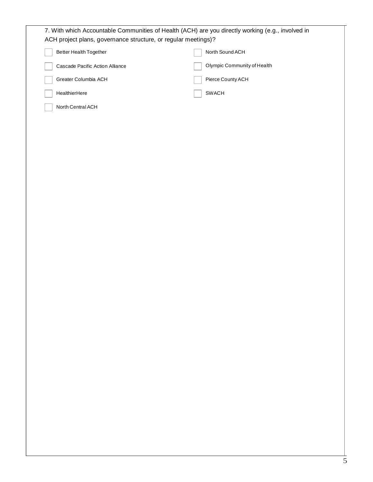| ACH project plans, governance structure, or regular meetings)? |                             |
|----------------------------------------------------------------|-----------------------------|
| Better Health Together                                         | North Sound ACH             |
| Cascade Pacific Action Alliance                                | Olympic Community of Health |
| Greater Columbia ACH                                           | Pierce County ACH           |
| HealthierHere                                                  | SWACH                       |
| North Central ACH                                              |                             |
|                                                                |                             |
|                                                                |                             |
|                                                                |                             |
|                                                                |                             |
|                                                                |                             |
|                                                                |                             |
|                                                                |                             |
|                                                                |                             |
|                                                                |                             |
|                                                                |                             |
|                                                                |                             |
|                                                                |                             |
|                                                                |                             |
|                                                                |                             |
|                                                                |                             |
|                                                                |                             |
|                                                                |                             |
|                                                                |                             |
|                                                                |                             |
|                                                                |                             |
|                                                                |                             |
|                                                                |                             |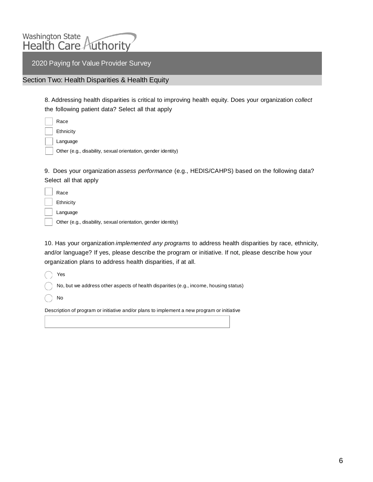

Section Two: Health Disparities & Health Equity

8. Addressing health disparities is critical to improving health equity. Does your organization *collect* the following patient data? Select all that apply

| Race                                                          |
|---------------------------------------------------------------|
| Ethnicity                                                     |
| Language                                                      |
| Other (e.g., disability, sexual orientation, gender identity) |
|                                                               |

9. Does your organization *assess performance* (e.g., HEDIS/CAHPS) based on the following data? Select all that apply

| Race                                                          |
|---------------------------------------------------------------|
| Ethnicity                                                     |
| Language                                                      |
| Other (e.g., disability, sexual orientation, gender identity) |

10. Has your organization *implemented any programs* to address health disparities by race, ethnicity, and/or language? If yes, please describe the program or initiative. If not, please describe how your organization plans to address health disparities, if at all.

Yes

No, but we address other aspects of health disparities (e.g., income, housing status)

No

Description of program or initiative and/or plans to implement a new program or initiative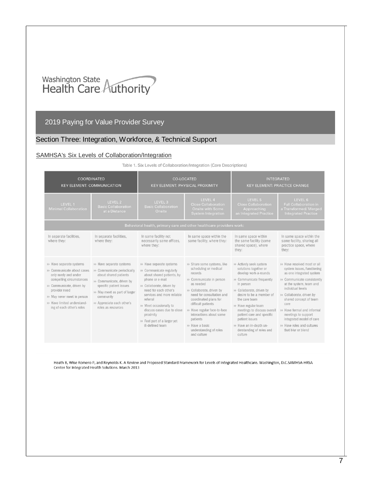# Washington State<br>Health Care Authority

## 2019 Paying for Value Provider Survey

## Section Three: Integration, Workforce, & Technical Support

#### SAMHSA's Six Levels of [Collaboration/Integration](https://www.integration.samhsa.gov/integrated-care-models/CIHS_Framework_Final_charts.pdf)

#### Table 1. Six Levels of Collaboration/Integration (Core Descriptions)

|                                                                                                                                                                                                                                                     | <b>COORDINATED</b><br><b>KEY ELEMENT: COMMUNICATION</b>                                                                                                                                                                                   | <b>CO-LOCATED</b>                                                                                                                                                                                                                                                                                                            | <b>KEY ELEMENT: PHYSICAL PROXIMITY</b>                                                                                                                                                                                                                                                                                                              | <b>INTEGRATED</b><br><b>KEY ELEMENT: PRACTICE CHANGE</b>                                                                                                                                                                                                                                                                                                            |                                                                                                                                                                                                                                                                                                                                                                          |
|-----------------------------------------------------------------------------------------------------------------------------------------------------------------------------------------------------------------------------------------------------|-------------------------------------------------------------------------------------------------------------------------------------------------------------------------------------------------------------------------------------------|------------------------------------------------------------------------------------------------------------------------------------------------------------------------------------------------------------------------------------------------------------------------------------------------------------------------------|-----------------------------------------------------------------------------------------------------------------------------------------------------------------------------------------------------------------------------------------------------------------------------------------------------------------------------------------------------|---------------------------------------------------------------------------------------------------------------------------------------------------------------------------------------------------------------------------------------------------------------------------------------------------------------------------------------------------------------------|--------------------------------------------------------------------------------------------------------------------------------------------------------------------------------------------------------------------------------------------------------------------------------------------------------------------------------------------------------------------------|
| LEVEL 2<br>LEVEL 1<br><b>Basic Collaboration</b><br><b>Minimal Collaboration</b><br>at a Distance                                                                                                                                                   |                                                                                                                                                                                                                                           | LEVEL 3<br><b>Basic Collaboration</b><br>Onsite                                                                                                                                                                                                                                                                              | LEVEL 4<br><b>Close Collaboration</b><br>Onsite with Some<br><b>System Integration</b>                                                                                                                                                                                                                                                              | LEVEL 5<br><b>Close Collaboration</b><br>Approaching<br>an Integrated Practice                                                                                                                                                                                                                                                                                      | LEVEL 6<br><b>Full Collaboration in</b><br>a Transformed/Merged<br><b>Integrated Practice</b>                                                                                                                                                                                                                                                                            |
|                                                                                                                                                                                                                                                     |                                                                                                                                                                                                                                           | Behavioral health, primary care and other healthcare providers work:                                                                                                                                                                                                                                                         |                                                                                                                                                                                                                                                                                                                                                     |                                                                                                                                                                                                                                                                                                                                                                     |                                                                                                                                                                                                                                                                                                                                                                          |
| In separate facilities.<br>where they:                                                                                                                                                                                                              | In separate facilities.<br>where they:                                                                                                                                                                                                    | In same facility not<br>necessarily same offices,<br>where they:                                                                                                                                                                                                                                                             | In same space within the<br>same facility, where they:                                                                                                                                                                                                                                                                                              | In same space within<br>the same facility (some<br>shared space), where<br>they:                                                                                                                                                                                                                                                                                    | In same space within the<br>same facility, sharing all<br>practice space, where<br>they:                                                                                                                                                                                                                                                                                 |
| >> Have separate systems<br>▶ Communicate about cases<br>only rarely and under<br>compelling circumstances<br>>> Communicate, driven by<br>provider need<br>>> May never meet in person<br>>> Have limited understand-<br>ing of each other's roles | >> Have separate systems<br>> Communicate periodically<br>about shared patients<br>>> Communicate, driven by<br>specific patient issues<br>>> May meet as part of larger<br>community<br>>> Appreciate each other's<br>roles as resources | >> Have separate systems<br>> Communicate regularly<br>about shared patients, by<br>phone or e-mail<br>>> Collaborate, driven by<br>need for each other's<br>services and more reliable<br>referral<br>▶ Meet occasionally to<br>discuss cases due to close<br>proximity<br>>> Feel part of a larger yet<br>ill-defined team | >> Share some systems, like<br>scheduling or medical<br>records<br>>> Communicate in person<br>as needed<br>>> Collaborate, driven by<br>need for consultation and<br>coordinated plans for<br>difficult patients<br>>> Have regular face-to-face<br>interactions about some<br>patients<br>▶ Have a basic<br>understanding of roles<br>and culture | >> Actively seek system<br>solutions together or<br>develop work-a-rounds<br>> Communicate frequently<br>in person<br>>> Collaborate, driven by<br>desire to be a member of<br>the care team<br>▶ Have regular team<br>meetings to discuss overall<br>patient care and specific<br>patient issues<br>>> Have an in-depth un-<br>derstanding of roles and<br>culture | > Have resolved most or all<br>system issues, functioning<br>as one integrated system<br>De Communicate consistently<br>at the system, team and<br>individual levels<br>> Collaborate, driven by<br>shared concept of team<br>care<br>>> Have formal and informal<br>meetings to support<br>integrated model of care<br>>> Have roles and cultures<br>that blur or blend |

Heath B, Wise Romero P, and Reynolds K. A Review and Proposed Standard Framework for Levels of Integrated Healthcare. Washington, D.C.SAMHSA-HRSA Center for Integrated Health Solutions. March 2013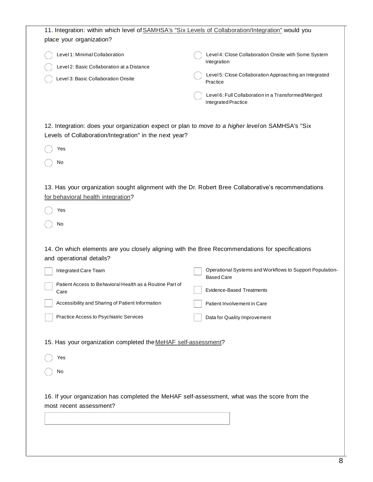| 11. Integration: within which level of SAMHSA's "Six Levels of Collaboration/Integration" would you<br>place your organization?<br>Level 1: Minimal Collaboration<br>Level 4: Close Collaboration Onsite with Some System<br>Integration<br>Level 2: Basic Collaboration at a Distance<br>Level 5: Close Collaboration Approaching an Integrated<br>Level 3: Basic Collaboration Onsite<br>Practice<br>Level 6: Full Collaboration in a Transformed/Merged<br>Integrated Practice<br>12. Integration: does your organization expect or plan to move to a higher levelon SAMHSA's "Six<br>Levels of Collaboration/Integration" in the next year?<br>Yes<br>No<br>13. Has your organization sought alignment with the Dr. Robert Bree Collaborative's recommendations<br>for behavioral health integration?<br>Yes<br>No<br>14. On which elements are you closely aligning with the Bree Recommendations for specifications<br>and operational details?<br>Integrated Care Team<br><b>Based Care</b><br>Patient Access to Behavioral Health as a Routine Part of<br><b>Evidence-Based Treatments</b><br>Care<br>Accessibility and Sharing of Patient Information<br>Patient Involvement in Care<br>Practice Access to Psychiatric Services<br>Data for Quality Improvement<br>15. Has your organization completed the MeHAF self-assessment?<br>Yes<br>No<br>16. If your organization has completed the MeHAF self-assessment, what was the score from the<br>most recent assessment? |                                                          |
|-------------------------------------------------------------------------------------------------------------------------------------------------------------------------------------------------------------------------------------------------------------------------------------------------------------------------------------------------------------------------------------------------------------------------------------------------------------------------------------------------------------------------------------------------------------------------------------------------------------------------------------------------------------------------------------------------------------------------------------------------------------------------------------------------------------------------------------------------------------------------------------------------------------------------------------------------------------------------------------------------------------------------------------------------------------------------------------------------------------------------------------------------------------------------------------------------------------------------------------------------------------------------------------------------------------------------------------------------------------------------------------------------------------------------------------------------------------------------------------|----------------------------------------------------------|
|                                                                                                                                                                                                                                                                                                                                                                                                                                                                                                                                                                                                                                                                                                                                                                                                                                                                                                                                                                                                                                                                                                                                                                                                                                                                                                                                                                                                                                                                                     |                                                          |
|                                                                                                                                                                                                                                                                                                                                                                                                                                                                                                                                                                                                                                                                                                                                                                                                                                                                                                                                                                                                                                                                                                                                                                                                                                                                                                                                                                                                                                                                                     |                                                          |
|                                                                                                                                                                                                                                                                                                                                                                                                                                                                                                                                                                                                                                                                                                                                                                                                                                                                                                                                                                                                                                                                                                                                                                                                                                                                                                                                                                                                                                                                                     |                                                          |
|                                                                                                                                                                                                                                                                                                                                                                                                                                                                                                                                                                                                                                                                                                                                                                                                                                                                                                                                                                                                                                                                                                                                                                                                                                                                                                                                                                                                                                                                                     |                                                          |
|                                                                                                                                                                                                                                                                                                                                                                                                                                                                                                                                                                                                                                                                                                                                                                                                                                                                                                                                                                                                                                                                                                                                                                                                                                                                                                                                                                                                                                                                                     | Operational Systems and Workflows to Support Population- |
|                                                                                                                                                                                                                                                                                                                                                                                                                                                                                                                                                                                                                                                                                                                                                                                                                                                                                                                                                                                                                                                                                                                                                                                                                                                                                                                                                                                                                                                                                     |                                                          |
|                                                                                                                                                                                                                                                                                                                                                                                                                                                                                                                                                                                                                                                                                                                                                                                                                                                                                                                                                                                                                                                                                                                                                                                                                                                                                                                                                                                                                                                                                     |                                                          |
|                                                                                                                                                                                                                                                                                                                                                                                                                                                                                                                                                                                                                                                                                                                                                                                                                                                                                                                                                                                                                                                                                                                                                                                                                                                                                                                                                                                                                                                                                     |                                                          |
|                                                                                                                                                                                                                                                                                                                                                                                                                                                                                                                                                                                                                                                                                                                                                                                                                                                                                                                                                                                                                                                                                                                                                                                                                                                                                                                                                                                                                                                                                     |                                                          |
|                                                                                                                                                                                                                                                                                                                                                                                                                                                                                                                                                                                                                                                                                                                                                                                                                                                                                                                                                                                                                                                                                                                                                                                                                                                                                                                                                                                                                                                                                     |                                                          |
|                                                                                                                                                                                                                                                                                                                                                                                                                                                                                                                                                                                                                                                                                                                                                                                                                                                                                                                                                                                                                                                                                                                                                                                                                                                                                                                                                                                                                                                                                     |                                                          |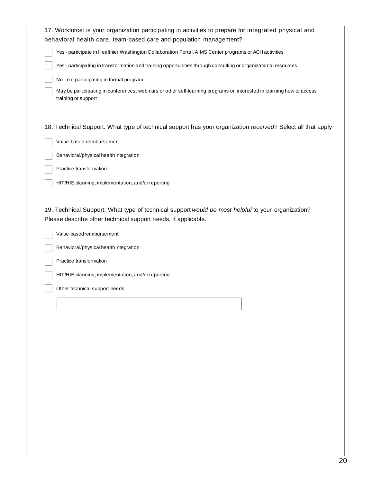| Yes - participate in Healthier Washington Collaboration Portal, AIMS Center programs or ACH activities<br>Yes - participating in transformation and training opportunities through consulting or organizational resources<br>No - not participating in formal program<br>May be participating in conferences, webinars or other self-learning programs or interested in learning how to access<br>training or support<br>Value-based reimbursement<br>Behavioral/physical health integration<br>Practice transformation<br>HIT/HIE planning, implementation, and/or reporting<br>Value-based reimbursement<br>Behavioral/physical health integration<br>Practice transformation<br>HIT/HIE planning, implementation, and/or reporting<br>Other technical support needs: | 17. Workforce: is your organization participating in activities to prepare for integrated physical and<br>behavioral health care, team-based care and population management?<br>18. Technical Support: What type of technical support has your organization received? Select all that apply<br>19. Technical Support: What type of technical support would be most helpful to your organization?<br>Please describe other technical support needs, if applicable. |  |
|-------------------------------------------------------------------------------------------------------------------------------------------------------------------------------------------------------------------------------------------------------------------------------------------------------------------------------------------------------------------------------------------------------------------------------------------------------------------------------------------------------------------------------------------------------------------------------------------------------------------------------------------------------------------------------------------------------------------------------------------------------------------------|-------------------------------------------------------------------------------------------------------------------------------------------------------------------------------------------------------------------------------------------------------------------------------------------------------------------------------------------------------------------------------------------------------------------------------------------------------------------|--|
|                                                                                                                                                                                                                                                                                                                                                                                                                                                                                                                                                                                                                                                                                                                                                                         |                                                                                                                                                                                                                                                                                                                                                                                                                                                                   |  |
|                                                                                                                                                                                                                                                                                                                                                                                                                                                                                                                                                                                                                                                                                                                                                                         |                                                                                                                                                                                                                                                                                                                                                                                                                                                                   |  |
|                                                                                                                                                                                                                                                                                                                                                                                                                                                                                                                                                                                                                                                                                                                                                                         |                                                                                                                                                                                                                                                                                                                                                                                                                                                                   |  |
|                                                                                                                                                                                                                                                                                                                                                                                                                                                                                                                                                                                                                                                                                                                                                                         |                                                                                                                                                                                                                                                                                                                                                                                                                                                                   |  |
|                                                                                                                                                                                                                                                                                                                                                                                                                                                                                                                                                                                                                                                                                                                                                                         |                                                                                                                                                                                                                                                                                                                                                                                                                                                                   |  |
|                                                                                                                                                                                                                                                                                                                                                                                                                                                                                                                                                                                                                                                                                                                                                                         |                                                                                                                                                                                                                                                                                                                                                                                                                                                                   |  |
|                                                                                                                                                                                                                                                                                                                                                                                                                                                                                                                                                                                                                                                                                                                                                                         |                                                                                                                                                                                                                                                                                                                                                                                                                                                                   |  |
|                                                                                                                                                                                                                                                                                                                                                                                                                                                                                                                                                                                                                                                                                                                                                                         |                                                                                                                                                                                                                                                                                                                                                                                                                                                                   |  |
|                                                                                                                                                                                                                                                                                                                                                                                                                                                                                                                                                                                                                                                                                                                                                                         |                                                                                                                                                                                                                                                                                                                                                                                                                                                                   |  |
|                                                                                                                                                                                                                                                                                                                                                                                                                                                                                                                                                                                                                                                                                                                                                                         |                                                                                                                                                                                                                                                                                                                                                                                                                                                                   |  |
|                                                                                                                                                                                                                                                                                                                                                                                                                                                                                                                                                                                                                                                                                                                                                                         |                                                                                                                                                                                                                                                                                                                                                                                                                                                                   |  |
|                                                                                                                                                                                                                                                                                                                                                                                                                                                                                                                                                                                                                                                                                                                                                                         |                                                                                                                                                                                                                                                                                                                                                                                                                                                                   |  |
|                                                                                                                                                                                                                                                                                                                                                                                                                                                                                                                                                                                                                                                                                                                                                                         |                                                                                                                                                                                                                                                                                                                                                                                                                                                                   |  |
|                                                                                                                                                                                                                                                                                                                                                                                                                                                                                                                                                                                                                                                                                                                                                                         |                                                                                                                                                                                                                                                                                                                                                                                                                                                                   |  |
|                                                                                                                                                                                                                                                                                                                                                                                                                                                                                                                                                                                                                                                                                                                                                                         |                                                                                                                                                                                                                                                                                                                                                                                                                                                                   |  |
|                                                                                                                                                                                                                                                                                                                                                                                                                                                                                                                                                                                                                                                                                                                                                                         |                                                                                                                                                                                                                                                                                                                                                                                                                                                                   |  |
|                                                                                                                                                                                                                                                                                                                                                                                                                                                                                                                                                                                                                                                                                                                                                                         |                                                                                                                                                                                                                                                                                                                                                                                                                                                                   |  |
|                                                                                                                                                                                                                                                                                                                                                                                                                                                                                                                                                                                                                                                                                                                                                                         |                                                                                                                                                                                                                                                                                                                                                                                                                                                                   |  |
|                                                                                                                                                                                                                                                                                                                                                                                                                                                                                                                                                                                                                                                                                                                                                                         |                                                                                                                                                                                                                                                                                                                                                                                                                                                                   |  |
|                                                                                                                                                                                                                                                                                                                                                                                                                                                                                                                                                                                                                                                                                                                                                                         |                                                                                                                                                                                                                                                                                                                                                                                                                                                                   |  |
|                                                                                                                                                                                                                                                                                                                                                                                                                                                                                                                                                                                                                                                                                                                                                                         |                                                                                                                                                                                                                                                                                                                                                                                                                                                                   |  |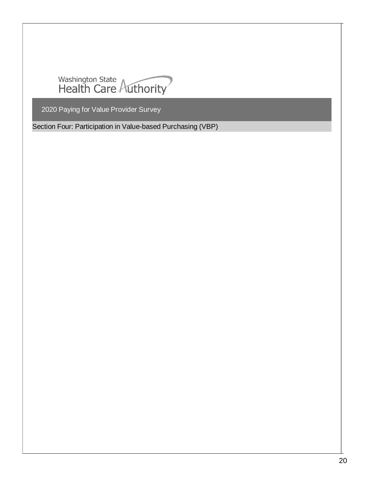

Section Four: Participation in Value-based Purchasing (VBP)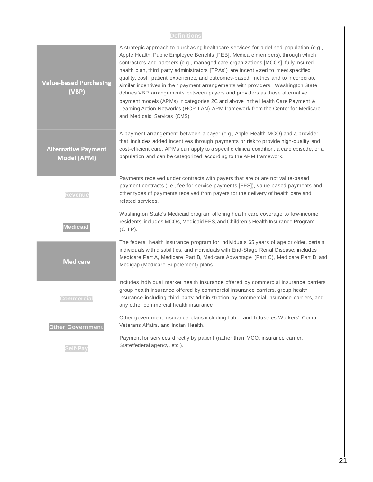| <b>Definitions</b>                        |                                                                                                                                                                                                                                                                                                                                                                                                                                                                                                                                                                                                                                                                                                                                                                                                              |  |  |  |
|-------------------------------------------|--------------------------------------------------------------------------------------------------------------------------------------------------------------------------------------------------------------------------------------------------------------------------------------------------------------------------------------------------------------------------------------------------------------------------------------------------------------------------------------------------------------------------------------------------------------------------------------------------------------------------------------------------------------------------------------------------------------------------------------------------------------------------------------------------------------|--|--|--|
| <b>Value-based Purchasing</b><br>(VBP)    | A strategic approach to purchasing healthcare services for a defined population (e.g.,<br>Apple Health, Public Employee Benefits [PEB], Medicare members), through which<br>contractors and partners (e.g., managed care organizations [MCOs], fully insured<br>health plan, third party administrators [TPAs]) are incentivized to meet specified<br>quality, cost, patient experience, and outcomes-based metrics and to incorporate<br>similar incentives in their payment arrangements with providers. Washington State<br>defines VBP arrangements between payers and providers as those alternative<br>payment models (APMs) in categories 2C and above in the Health Care Payment &<br>Learning Action Network's (HCP-LAN) APM framework from the Center for Medicare<br>and Medicaid Services (CMS). |  |  |  |
| <b>Alternative Payment</b><br>Model (APM) | A payment arrangement between a payer (e.g., Apple Health MCO) and a provider<br>that includes added incentives through payments or risk to provide high-quality and<br>cost-efficient care. APMs can apply to a specific clinical condition, a care episode, or a<br>population and can be categorized according to the APM framework.                                                                                                                                                                                                                                                                                                                                                                                                                                                                      |  |  |  |
| <b>Revenue</b>                            | Payments received under contracts with payers that are or are not value-based<br>payment contracts (i.e., fee-for-service payments [FFS]), value-based payments and<br>other types of payments received from payers for the delivery of health care and<br>related services.                                                                                                                                                                                                                                                                                                                                                                                                                                                                                                                                 |  |  |  |
| <b>Medicaid</b>                           | Washington State's Medicaid program offering health care coverage to low-income<br>residents; includes MCOs, Medicaid FFS, and Children's Health Insurance Program<br>(CHIP).                                                                                                                                                                                                                                                                                                                                                                                                                                                                                                                                                                                                                                |  |  |  |
| <b>Medicare</b>                           | The federal health insurance program for individuals 65 years of age or older, certain<br>individuals with disabilities, and individuals with End-Stage Renal Disease; includes<br>Medicare Part A, Medicare Part B, Medicare Advantage (Part C), Medicare Part D, and<br>Medigap (Medicare Supplement) plans.                                                                                                                                                                                                                                                                                                                                                                                                                                                                                               |  |  |  |
| uommerciai                                | hcludes individual market health insurance offered by commercial insurance carriers,<br>group health insurance offered by commercial insurance carriers, group health<br>insurance including third-party administration by commercial insurance carriers, and<br>any other commercial health insurance                                                                                                                                                                                                                                                                                                                                                                                                                                                                                                       |  |  |  |
| <b>Other Government</b>                   | Other government insurance plans including Labor and hdustries Workers' Comp,<br>Veterans Affairs, and Indian Health.                                                                                                                                                                                                                                                                                                                                                                                                                                                                                                                                                                                                                                                                                        |  |  |  |
| <b>Self-Pay</b>                           | Payment for services directly by patient (rather than MCO, insurance carrier,<br>State/federal agency, etc.).                                                                                                                                                                                                                                                                                                                                                                                                                                                                                                                                                                                                                                                                                                |  |  |  |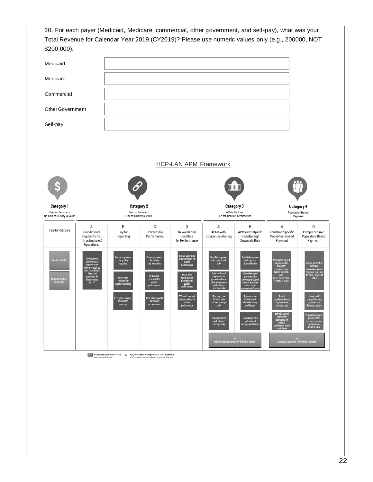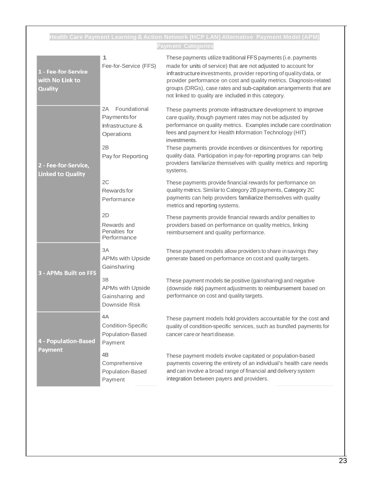|                                                   |                                                                                                                   | Health Care Payment Learning&Action Network (HCP LAN) Alternative  Payment Model (APM)                                                                                                                                                                                                                                                                                                                                                                                                                  |
|---------------------------------------------------|-------------------------------------------------------------------------------------------------------------------|---------------------------------------------------------------------------------------------------------------------------------------------------------------------------------------------------------------------------------------------------------------------------------------------------------------------------------------------------------------------------------------------------------------------------------------------------------------------------------------------------------|
| 1 - Fee-for-Service<br>with No Link to<br>Quality | 1<br>Fee-for-Service (FFS)                                                                                        | <b>Payment Categories</b><br>These payments utilize traditional FFS payments (i.e. payments<br>made for units of service) that are not adjusted to account for<br>infrastructure investments, provider reporting of quality data, or<br>provider performance on cost and quality metrics. Diagnosis-related<br>groups (DRGs), case rates and sub-capitation arrangements that are<br>not linked to quality are included in this category.                                                               |
| 2 - Fee-for-Service,<br><b>Linked to Quality</b>  | Foundational<br>2A<br>Paymentsfor<br>Infrastructure &<br>Operations<br>2B<br>Pay for Reporting                    | These payments promote infrastructure development to improve<br>care quality, though payment rates may not be adjusted by<br>performance on quality metrics. Examples include care coordination<br>fees and payment for Health hformation Technology (HIT)<br>investments.<br>These payments provide incentives or disincentives for reporting<br>quality data. Participation in pay-for-reporting programs can help<br>providers familiarize themselves with quality metrics and reporting<br>systems. |
|                                                   | 2C<br>Rewards for<br>Performance<br>2D<br>Rewards and<br>Penalties for<br>Performance                             | These payments provide financial rewards for performance on<br>quality metrics. Similar to Category 2B payments, Category 2C<br>payments can help providers familiarize themselves with quality<br>metrics and reporting systems.<br>These payments provide financial rewards and/or penalties to<br>providers based on performance on quality metrics, linking<br>reimbursement and quality performance.                                                                                               |
| <b>3 - APMs Built on FFS</b>                      | 3A<br><b>APMs with Upside</b><br>Gainsharing<br>3B<br><b>APMs with Upside</b><br>Gainsharing and<br>Downside Risk | These payment models allow providers to share in savings they<br>generate based on performance on cost and quality targets.<br>These payment models tie positive (gainsharing) and negative<br>(downside risk) payment adjustments to reimbursement based on<br>performance on cost and quality targets.                                                                                                                                                                                                |
| <b>4 - Population-Based</b><br>Payment            | 4A<br><b>Condition-Specific</b><br>Population-Based<br>Payment                                                    | These payment models hold providers accountable for the cost and<br>quality of condition-specific services, such as bundled payments for<br>cancer care or heart disease.                                                                                                                                                                                                                                                                                                                               |
|                                                   | 4 <sub>B</sub><br>Comprehensive<br>Population-Based<br>Payment                                                    | These payment models involve capitated or population-based<br>payments covering the entirety of an individual's health care needs<br>and can involve a broad range of financial and delivery system<br>integration between payers and providers.                                                                                                                                                                                                                                                        |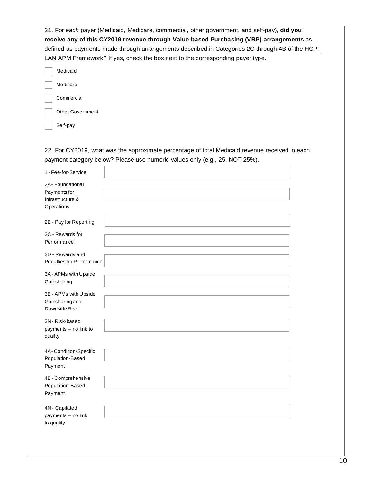|                                             | defined as payments made through arrangements described in Categories 2C through 4B of the HCP-<br>LAN APM Framework? If yes, check the box next to the corresponding payer type. |  |
|---------------------------------------------|-----------------------------------------------------------------------------------------------------------------------------------------------------------------------------------|--|
| Medicaid                                    |                                                                                                                                                                                   |  |
| Medicare                                    |                                                                                                                                                                                   |  |
| Commercial                                  |                                                                                                                                                                                   |  |
| <b>Other Government</b>                     |                                                                                                                                                                                   |  |
| Self-pay                                    |                                                                                                                                                                                   |  |
| 1 - Fee-for-Service                         | 22. For CY2019, what was the approximate percentage of total Medicaid revenue received in each<br>payment category below? Please use numeric values only (e.g., 25, NOT 25%).     |  |
| 2A - Foundational                           |                                                                                                                                                                                   |  |
| Payments for                                |                                                                                                                                                                                   |  |
| Infrastructure &                            |                                                                                                                                                                                   |  |
| Operations                                  |                                                                                                                                                                                   |  |
| 2B - Pay for Reporting                      |                                                                                                                                                                                   |  |
| 2C - Rewards for                            |                                                                                                                                                                                   |  |
| Performance                                 |                                                                                                                                                                                   |  |
| 2D - Rewards and                            |                                                                                                                                                                                   |  |
| Penalties for Performance                   |                                                                                                                                                                                   |  |
| 3A - APMs with Upside                       |                                                                                                                                                                                   |  |
| Gainsharing                                 |                                                                                                                                                                                   |  |
|                                             |                                                                                                                                                                                   |  |
| 3B - APMs with Upside<br>Gainsharing and    |                                                                                                                                                                                   |  |
| Downside Risk                               |                                                                                                                                                                                   |  |
| 3N-Risk-based                               |                                                                                                                                                                                   |  |
| payments - no link to                       |                                                                                                                                                                                   |  |
| quality                                     |                                                                                                                                                                                   |  |
|                                             |                                                                                                                                                                                   |  |
| 4A - Condition-Specific<br>Population-Based |                                                                                                                                                                                   |  |
| Payment                                     |                                                                                                                                                                                   |  |
| 4B - Comprehensive                          |                                                                                                                                                                                   |  |
| Population-Based                            |                                                                                                                                                                                   |  |
|                                             |                                                                                                                                                                                   |  |
| Payment                                     |                                                                                                                                                                                   |  |
| 4N - Capitated                              |                                                                                                                                                                                   |  |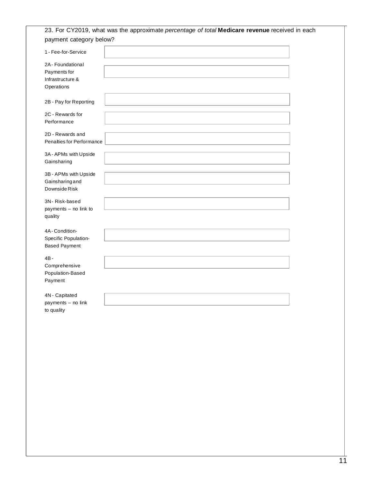| 2A - Foundational<br>Payments for<br>Infrastructure &<br>Operations<br>2B - Pay for Reporting<br>2C - Rewards for<br>Performance<br>2D - Rewards and<br>Penalties for Performance<br>3A - APMs with Upside<br>Gainsharing<br>3B - APMs with Upside<br>Gainsharing and<br>Downside Risk<br>3N-Risk-based<br>payments - no link to<br>quality<br>4A-Condition-<br>Specific Population-<br><b>Based Payment</b><br>$4B -$<br>Comprehensive<br>Population-Based<br>Payment<br>4N - Capitated<br>payments - no link | 1 - Fee-for-Service |  |
|----------------------------------------------------------------------------------------------------------------------------------------------------------------------------------------------------------------------------------------------------------------------------------------------------------------------------------------------------------------------------------------------------------------------------------------------------------------------------------------------------------------|---------------------|--|
|                                                                                                                                                                                                                                                                                                                                                                                                                                                                                                                |                     |  |
|                                                                                                                                                                                                                                                                                                                                                                                                                                                                                                                |                     |  |
|                                                                                                                                                                                                                                                                                                                                                                                                                                                                                                                |                     |  |
|                                                                                                                                                                                                                                                                                                                                                                                                                                                                                                                |                     |  |
|                                                                                                                                                                                                                                                                                                                                                                                                                                                                                                                |                     |  |
|                                                                                                                                                                                                                                                                                                                                                                                                                                                                                                                |                     |  |
|                                                                                                                                                                                                                                                                                                                                                                                                                                                                                                                |                     |  |
|                                                                                                                                                                                                                                                                                                                                                                                                                                                                                                                |                     |  |
|                                                                                                                                                                                                                                                                                                                                                                                                                                                                                                                |                     |  |
|                                                                                                                                                                                                                                                                                                                                                                                                                                                                                                                |                     |  |
|                                                                                                                                                                                                                                                                                                                                                                                                                                                                                                                |                     |  |
|                                                                                                                                                                                                                                                                                                                                                                                                                                                                                                                |                     |  |
|                                                                                                                                                                                                                                                                                                                                                                                                                                                                                                                |                     |  |
|                                                                                                                                                                                                                                                                                                                                                                                                                                                                                                                |                     |  |
|                                                                                                                                                                                                                                                                                                                                                                                                                                                                                                                |                     |  |
|                                                                                                                                                                                                                                                                                                                                                                                                                                                                                                                |                     |  |
|                                                                                                                                                                                                                                                                                                                                                                                                                                                                                                                |                     |  |
|                                                                                                                                                                                                                                                                                                                                                                                                                                                                                                                |                     |  |
|                                                                                                                                                                                                                                                                                                                                                                                                                                                                                                                |                     |  |
|                                                                                                                                                                                                                                                                                                                                                                                                                                                                                                                |                     |  |
|                                                                                                                                                                                                                                                                                                                                                                                                                                                                                                                |                     |  |
|                                                                                                                                                                                                                                                                                                                                                                                                                                                                                                                |                     |  |
|                                                                                                                                                                                                                                                                                                                                                                                                                                                                                                                |                     |  |
|                                                                                                                                                                                                                                                                                                                                                                                                                                                                                                                |                     |  |
|                                                                                                                                                                                                                                                                                                                                                                                                                                                                                                                |                     |  |
|                                                                                                                                                                                                                                                                                                                                                                                                                                                                                                                |                     |  |
|                                                                                                                                                                                                                                                                                                                                                                                                                                                                                                                |                     |  |
|                                                                                                                                                                                                                                                                                                                                                                                                                                                                                                                | to quality          |  |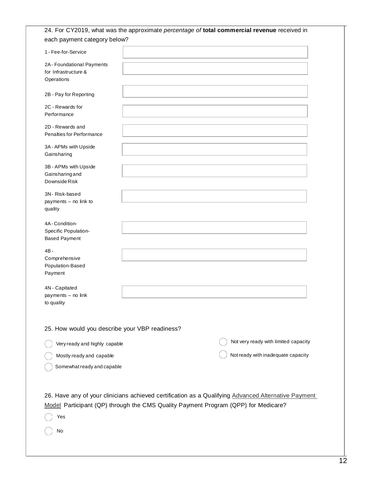| 24. For CY2019, what was the approximate percentage of total commercial revenue received in                                                                                               |                                      |
|-------------------------------------------------------------------------------------------------------------------------------------------------------------------------------------------|--------------------------------------|
| each payment category below?                                                                                                                                                              |                                      |
| 1 - Fee-for-Service                                                                                                                                                                       |                                      |
| 2A-Foundational Payments<br>for Infrastructure &<br>Operations                                                                                                                            |                                      |
| 2B - Pay for Reporting                                                                                                                                                                    |                                      |
| 2C - Rewards for<br>Performance                                                                                                                                                           |                                      |
| 2D - Rewards and<br>Penalties for Performance                                                                                                                                             |                                      |
| 3A - APMs with Upside<br>Gainsharing                                                                                                                                                      |                                      |
| 3B - APMs with Upside<br>Gainsharing and<br>Downside Risk                                                                                                                                 |                                      |
| 3N-Risk-based<br>payments - no link to<br>quality                                                                                                                                         |                                      |
| 4A - Condition-<br>Specific Population-<br><b>Based Payment</b>                                                                                                                           |                                      |
| $4B -$<br>Comprehensive<br>Population-Based<br>Payment                                                                                                                                    |                                      |
| 4N - Capitated<br>payments - no link<br>to quality                                                                                                                                        |                                      |
| 25. How would you describe your VBP readiness?                                                                                                                                            |                                      |
| Very ready and highly capable                                                                                                                                                             | Not very ready with limited capacity |
| Mostly ready and capable                                                                                                                                                                  | Not ready with inadequate capacity   |
| Somewhat ready and capable                                                                                                                                                                |                                      |
| 26. Have any of your clinicians achieved certification as a Qualifying Advanced Alternative Payment<br>Model Participant (QP) through the CMS Quality Payment Program (QPP) for Medicare? |                                      |
| Yes                                                                                                                                                                                       |                                      |
| No                                                                                                                                                                                        |                                      |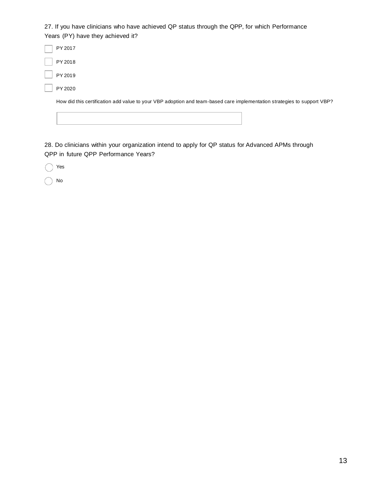27. If you have clinicians who have achieved QP status through the QPP, for which Performance Years (PY) have they achieved it?

PY 2017 PY 2018 PY 2019 PY 2020

How did this certification add value to your VBP adoption and team-based care implementation strategies to support VBP?

28. Do clinicians within your organization intend to apply for QP status for Advanced APMs through QPP in future QPP Performance Years?

Yes

No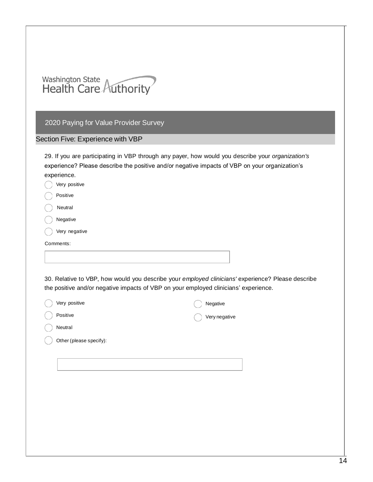| <b>Washington State</b> |  |
|-------------------------|--|
| Health Care Authority   |  |

## Section Five: Experience with VBP

29. If you are participating in VBP through any payer, how would you describe your *organization's* experience? Please describe the positive and/or negative impacts of VBP on your organization's experience.

| Very positive                                                                        |                                                                                                   |
|--------------------------------------------------------------------------------------|---------------------------------------------------------------------------------------------------|
| Positive                                                                             |                                                                                                   |
| Neutral                                                                              |                                                                                                   |
| Negative                                                                             |                                                                                                   |
| Very negative                                                                        |                                                                                                   |
| Comments:                                                                            |                                                                                                   |
|                                                                                      |                                                                                                   |
|                                                                                      |                                                                                                   |
|                                                                                      | 30. Relative to VBP, how would you describe your employed clinicians' experience? Please describe |
| the positive and/or negative impacts of VBP on your employed clinicians' experience. |                                                                                                   |
| Very positive                                                                        | Negative                                                                                          |

| very positive           | Negative      |
|-------------------------|---------------|
| Positive                | Very negative |
| Neutral                 |               |
| Other (please specify): |               |
|                         |               |
|                         |               |
|                         |               |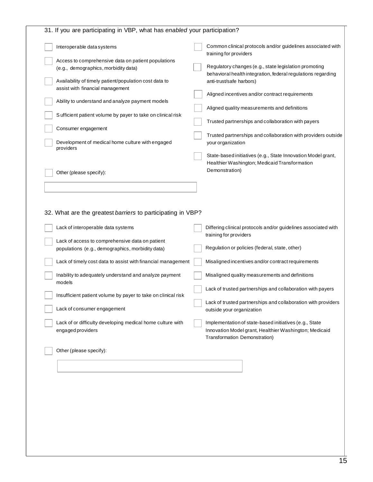| Interoperable data systems<br>training for providers<br>Access to comprehensive data on patient populations<br>(e.g., demographics, morbidity data)<br>behavioral health integration, federal regulations regarding<br>Availability of timely patient/population cost data to<br>anti-trust/safe harbors)<br>assist with financial management<br>Aligned incentives and/or contract requirements<br>Ability to understand and analyze payment models<br>Aligned quality measurements and definitions<br>Sufficient patient volume by payer to take on clinical risk<br>Trusted partnerships and collaboration with payers<br>Consumer engagement<br>Development of medical home culture with engaged<br>your organization<br>providers<br>State-based initiatives (e.g., State Innovation Model grant,<br>Healthier Washington; Medicaid Transformation<br>Demonstration)<br>Other (please specify):<br>32. What are the greatest barriers to participating in VBP?<br>Lack of interoperable data systems<br>training for providers<br>Lack of access to comprehensive data on patient<br>Regulation or policies (federal, state, other)<br>populations (e.g., demographics, morbidity data)<br>Misaligned incentives and/or contract requirements<br>Lack of timely cost data to assist with financial management<br>Inability to adequately understand and analyze payment<br>Misaligned quality measurements and definitions<br>models<br>Insufficient patient volume by payer to take on clinical risk<br>Lack of trusted partnerships and collaboration with providers<br>Lack of consumer engagement<br>outside your organization<br>Lack of or difficulty developing medical home culture with<br>Implementation of state-based initiatives (e.g., State<br>engaged providers<br>Transformation Demonstration)<br>Other (please specify): | 31. If you are participating in VBP, what has enabled your participation? |                                                                |
|--------------------------------------------------------------------------------------------------------------------------------------------------------------------------------------------------------------------------------------------------------------------------------------------------------------------------------------------------------------------------------------------------------------------------------------------------------------------------------------------------------------------------------------------------------------------------------------------------------------------------------------------------------------------------------------------------------------------------------------------------------------------------------------------------------------------------------------------------------------------------------------------------------------------------------------------------------------------------------------------------------------------------------------------------------------------------------------------------------------------------------------------------------------------------------------------------------------------------------------------------------------------------------------------------------------------------------------------------------------------------------------------------------------------------------------------------------------------------------------------------------------------------------------------------------------------------------------------------------------------------------------------------------------------------------------------------------------------------------------------------------------------------------------------------------------------------------------------------|---------------------------------------------------------------------------|----------------------------------------------------------------|
|                                                                                                                                                                                                                                                                                                                                                                                                                                                                                                                                                                                                                                                                                                                                                                                                                                                                                                                                                                                                                                                                                                                                                                                                                                                                                                                                                                                                                                                                                                                                                                                                                                                                                                                                                                                                                                                  |                                                                           | Common clinical protocols and/or guidelines associated with    |
|                                                                                                                                                                                                                                                                                                                                                                                                                                                                                                                                                                                                                                                                                                                                                                                                                                                                                                                                                                                                                                                                                                                                                                                                                                                                                                                                                                                                                                                                                                                                                                                                                                                                                                                                                                                                                                                  |                                                                           | Regulatory changes (e.g., state legislation promoting          |
|                                                                                                                                                                                                                                                                                                                                                                                                                                                                                                                                                                                                                                                                                                                                                                                                                                                                                                                                                                                                                                                                                                                                                                                                                                                                                                                                                                                                                                                                                                                                                                                                                                                                                                                                                                                                                                                  |                                                                           |                                                                |
|                                                                                                                                                                                                                                                                                                                                                                                                                                                                                                                                                                                                                                                                                                                                                                                                                                                                                                                                                                                                                                                                                                                                                                                                                                                                                                                                                                                                                                                                                                                                                                                                                                                                                                                                                                                                                                                  |                                                                           |                                                                |
|                                                                                                                                                                                                                                                                                                                                                                                                                                                                                                                                                                                                                                                                                                                                                                                                                                                                                                                                                                                                                                                                                                                                                                                                                                                                                                                                                                                                                                                                                                                                                                                                                                                                                                                                                                                                                                                  |                                                                           |                                                                |
|                                                                                                                                                                                                                                                                                                                                                                                                                                                                                                                                                                                                                                                                                                                                                                                                                                                                                                                                                                                                                                                                                                                                                                                                                                                                                                                                                                                                                                                                                                                                                                                                                                                                                                                                                                                                                                                  |                                                                           | Trusted partnerships and collaboration with providers outside  |
|                                                                                                                                                                                                                                                                                                                                                                                                                                                                                                                                                                                                                                                                                                                                                                                                                                                                                                                                                                                                                                                                                                                                                                                                                                                                                                                                                                                                                                                                                                                                                                                                                                                                                                                                                                                                                                                  |                                                                           |                                                                |
|                                                                                                                                                                                                                                                                                                                                                                                                                                                                                                                                                                                                                                                                                                                                                                                                                                                                                                                                                                                                                                                                                                                                                                                                                                                                                                                                                                                                                                                                                                                                                                                                                                                                                                                                                                                                                                                  |                                                                           |                                                                |
|                                                                                                                                                                                                                                                                                                                                                                                                                                                                                                                                                                                                                                                                                                                                                                                                                                                                                                                                                                                                                                                                                                                                                                                                                                                                                                                                                                                                                                                                                                                                                                                                                                                                                                                                                                                                                                                  |                                                                           |                                                                |
|                                                                                                                                                                                                                                                                                                                                                                                                                                                                                                                                                                                                                                                                                                                                                                                                                                                                                                                                                                                                                                                                                                                                                                                                                                                                                                                                                                                                                                                                                                                                                                                                                                                                                                                                                                                                                                                  |                                                                           |                                                                |
|                                                                                                                                                                                                                                                                                                                                                                                                                                                                                                                                                                                                                                                                                                                                                                                                                                                                                                                                                                                                                                                                                                                                                                                                                                                                                                                                                                                                                                                                                                                                                                                                                                                                                                                                                                                                                                                  |                                                                           | Differing clinical protocols and/or guidelines associated with |
|                                                                                                                                                                                                                                                                                                                                                                                                                                                                                                                                                                                                                                                                                                                                                                                                                                                                                                                                                                                                                                                                                                                                                                                                                                                                                                                                                                                                                                                                                                                                                                                                                                                                                                                                                                                                                                                  |                                                                           |                                                                |
|                                                                                                                                                                                                                                                                                                                                                                                                                                                                                                                                                                                                                                                                                                                                                                                                                                                                                                                                                                                                                                                                                                                                                                                                                                                                                                                                                                                                                                                                                                                                                                                                                                                                                                                                                                                                                                                  |                                                                           |                                                                |
|                                                                                                                                                                                                                                                                                                                                                                                                                                                                                                                                                                                                                                                                                                                                                                                                                                                                                                                                                                                                                                                                                                                                                                                                                                                                                                                                                                                                                                                                                                                                                                                                                                                                                                                                                                                                                                                  |                                                                           |                                                                |
|                                                                                                                                                                                                                                                                                                                                                                                                                                                                                                                                                                                                                                                                                                                                                                                                                                                                                                                                                                                                                                                                                                                                                                                                                                                                                                                                                                                                                                                                                                                                                                                                                                                                                                                                                                                                                                                  |                                                                           | Lack of trusted partnerships and collaboration with payers     |
|                                                                                                                                                                                                                                                                                                                                                                                                                                                                                                                                                                                                                                                                                                                                                                                                                                                                                                                                                                                                                                                                                                                                                                                                                                                                                                                                                                                                                                                                                                                                                                                                                                                                                                                                                                                                                                                  |                                                                           |                                                                |
|                                                                                                                                                                                                                                                                                                                                                                                                                                                                                                                                                                                                                                                                                                                                                                                                                                                                                                                                                                                                                                                                                                                                                                                                                                                                                                                                                                                                                                                                                                                                                                                                                                                                                                                                                                                                                                                  |                                                                           | Innovation Model grant, Healthier Washington; Medicaid         |
|                                                                                                                                                                                                                                                                                                                                                                                                                                                                                                                                                                                                                                                                                                                                                                                                                                                                                                                                                                                                                                                                                                                                                                                                                                                                                                                                                                                                                                                                                                                                                                                                                                                                                                                                                                                                                                                  |                                                                           |                                                                |
|                                                                                                                                                                                                                                                                                                                                                                                                                                                                                                                                                                                                                                                                                                                                                                                                                                                                                                                                                                                                                                                                                                                                                                                                                                                                                                                                                                                                                                                                                                                                                                                                                                                                                                                                                                                                                                                  |                                                                           |                                                                |
|                                                                                                                                                                                                                                                                                                                                                                                                                                                                                                                                                                                                                                                                                                                                                                                                                                                                                                                                                                                                                                                                                                                                                                                                                                                                                                                                                                                                                                                                                                                                                                                                                                                                                                                                                                                                                                                  |                                                                           |                                                                |
|                                                                                                                                                                                                                                                                                                                                                                                                                                                                                                                                                                                                                                                                                                                                                                                                                                                                                                                                                                                                                                                                                                                                                                                                                                                                                                                                                                                                                                                                                                                                                                                                                                                                                                                                                                                                                                                  |                                                                           |                                                                |
|                                                                                                                                                                                                                                                                                                                                                                                                                                                                                                                                                                                                                                                                                                                                                                                                                                                                                                                                                                                                                                                                                                                                                                                                                                                                                                                                                                                                                                                                                                                                                                                                                                                                                                                                                                                                                                                  |                                                                           |                                                                |
|                                                                                                                                                                                                                                                                                                                                                                                                                                                                                                                                                                                                                                                                                                                                                                                                                                                                                                                                                                                                                                                                                                                                                                                                                                                                                                                                                                                                                                                                                                                                                                                                                                                                                                                                                                                                                                                  |                                                                           |                                                                |
|                                                                                                                                                                                                                                                                                                                                                                                                                                                                                                                                                                                                                                                                                                                                                                                                                                                                                                                                                                                                                                                                                                                                                                                                                                                                                                                                                                                                                                                                                                                                                                                                                                                                                                                                                                                                                                                  |                                                                           |                                                                |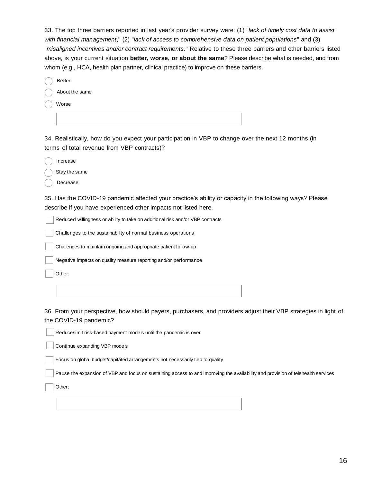33. The top three barriers reported in last year's provider survey were: (1) "*lack of timely cost data to assist with financial management*," (2) "*lack of access to comprehensive data on patient populations*" and (3) "*misaligned incentives and/or contract requirements*." Relative to these three barriers and other barriers listed above, is your current situation **better, worse, or about the same**? Please describe what is needed, and from whom (e.g., HCA, health plan partner, clinical practice) to improve on these barriers.

| <b>Better</b>  |  |
|----------------|--|
| About the same |  |
| Worse          |  |
|                |  |

34. Realistically, how do you expect your participation in VBP to change over the next 12 months (in terms of total revenue from VBP contracts)?

Increase

Stay the same

Decrease

35. Has the COVID-19 pandemic affected your practice's ability or capacity in the following ways? Please describe if you have experienced other impacts not listed here.

Reduced willingness or ability to take on additional risk and/or VBP contracts

Challenges to the sustainability of normal business operations

Challenges to maintain ongoing and appropriate patient follow-up

Negative impacts on quality measure reporting and/or performance

Other:

36. From your perspective, how should payers, purchasers, and providers adjust their VBP strategies in light of the COVID-19 pandemic?

Reduce/limit risk-based payment models until the pandemic is over

Continue expanding VBP models

Focus on global budget/capitated arrangements not necessarily tied to quality

Pause the expansion of VBP and focus on sustaining access to and improving the availability and provision of telehealth services

Other: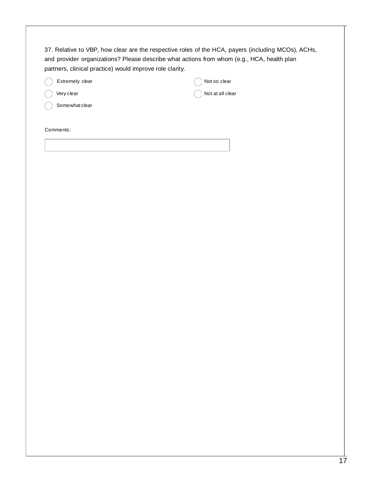37. Relative to VBP, how clear are the respective roles of the HCA, payers (including MCOs), ACHs, and provider organizations? Please describe what actions from whom (e.g., HCA, health plan partners, clinical practice) would improve role clarity.

| Extremely clear  |
|------------------|
| $( )$ Very clear |

Not so clear

Not at all clear

Somewhat clear

Comments: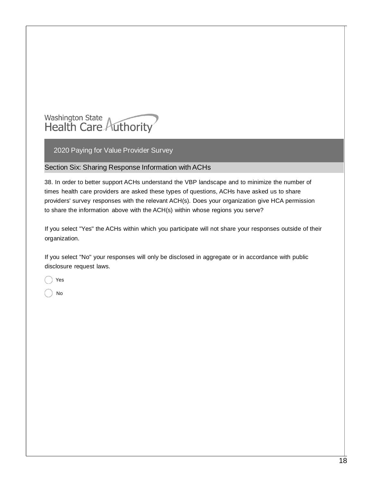

#### Section Six: Sharing Response Information with ACHs

38. In order to better support ACHs understand the VBP landscape and to minimize the number of times health care providers are asked these types of questions, ACHs have asked us to share providers' survey responses with the relevant ACH(s). Does your organization give HCA permission to share the information above with the ACH(s) within whose regions you serve?

If you select "Yes" the ACHs within which you participate will not share your responses outside of their organization.

If you select "No" your responses will only be disclosed in aggregate or in accordance with public disclosure request laws.

Yes

No